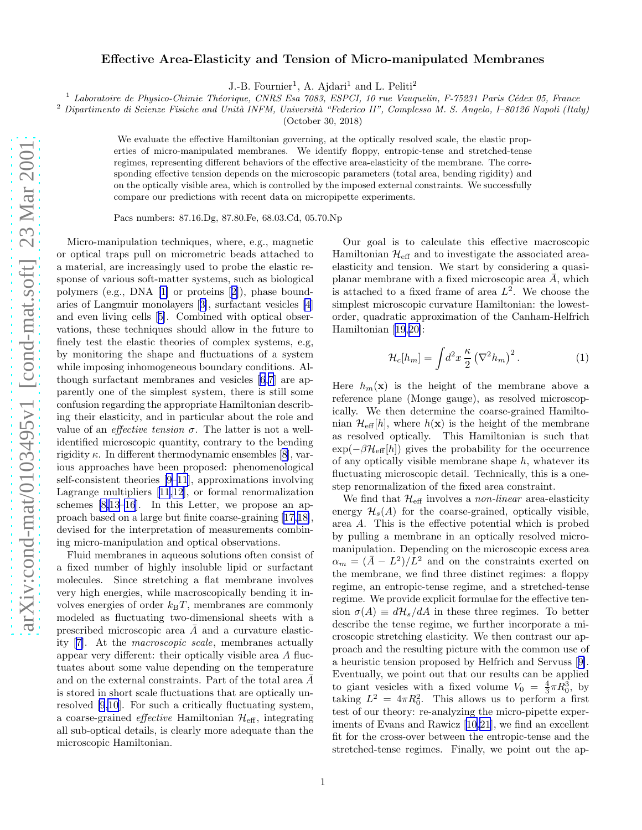## Effective Area-Elasticity and Tension of Micro-manipulated Membranes

J.-B. Fournier<sup>1</sup>, A. Ajdari<sup>1</sup> and L. Peliti<sup>2</sup>

 $1$  Laboratoire de Physico-Chimie Théorique, CNRS Esa 7083, ESPCI, 10 rue Vauquelin, F-75231 Paris Cédex 05, France

 $2$  Dipartimento di Scienze Fisiche and Unità INFM, Università "Federico II", Complesso M. S. Angelo, I–80126 Napoli (Italy)

(October 30, 2018)

We evaluate the effective Hamiltonian governing, at the optically resolved scale, the elastic properties of micro-manipulated membranes. We identify floppy, entropic-tense and stretched-tense regimes, representing different behaviors of the effective area-elasticity of the membrane. The corresponding effective tension depends on the microscopic parameters (total area, bending rigidity) and on the optically visible area, which is controlled by the imposed external constraints. We successfully compare our predictions with recent data on micropipette experiments.

Pacs numbers: 87.16.Dg, 87.80.Fe, 68.03.Cd, 05.70.Np

Micro-manipulation techniques, where, e.g., magnetic or optical traps pull on micrometric beads attached to a material, are increasingly used to probe the elastic response of various soft-matter systems, such as biological polymers (e.g., DNA [\[1\]](#page-3-0) or proteins[[2\]](#page-3-0)), phase boundaries of Langmuir monolayers[[3\]](#page-3-0), surfactant vesicles [\[4](#page-3-0)] and even living cells[[5\]](#page-3-0). Combined with optical observations, these techniques should allow in the future to finely test the elastic theories of complex systems, e.g, by monitoring the shape and fluctuations of a system while imposing inhomogeneous boundary conditions. Although surfactant membranes and vesicles [\[6,7](#page-3-0)] are apparently one of the simplest system, there is still some confusion regarding the appropriate Hamiltonian describing their elasticity, and in particular about the role and value of an *effective tension*  $\sigma$ . The latter is not a wellidentified microscopic quantity, contrary to the bending rigidity  $\kappa$ . In different thermodynamic ensembles [\[8](#page-3-0)], various approaches have been proposed: phenomenological self-consistent theories [\[9–11](#page-3-0)], approximations involving Lagrange multipliers [\[11](#page-3-0),[12\]](#page-3-0), or formal renormalization schemes [\[8,13–16](#page-3-0)]. In this Letter, we propose an approach based on a large but finite coarse-graining[[17,18\]](#page-3-0), devised for the interpretation of measurements combining micro-manipulation and optical observations.

Fluid membranes in aqueous solutions often consist of a fixed number of highly insoluble lipid or surfactant molecules. Since stretching a flat membrane involves very high energies, while macroscopically bending it involves energies of order  $k_BT$ , membranes are commonly modeled as fluctuating two-dimensional sheets with a prescribed microscopic area  $\overline{A}$  and a curvature elasticity[[7\]](#page-3-0). At the macroscopic scale, membranes actually appear very different: their optically visible area A fluctuates about some value depending on the temperature and on the external constraints. Part of the total area  $\overline{A}$ is stored in short scale fluctuations that are optically unresolved [\[9,10](#page-3-0)]. For such a critically fluctuating system, a coarse-grained *effective* Hamiltonian  $\mathcal{H}_{\text{eff}}$ , integrating all sub-optical details, is clearly more adequate than the microscopic Hamiltonian.

Our goal is to calculate this effective macroscopic Hamiltonian  $\mathcal{H}_{\text{eff}}$  and to investigate the associated areaelasticity and tension. We start by considering a quasiplanar membrane with a fixed microscopic area  $\overline{A}$ , which is attached to a fixed frame of area  $L^2$ . We choose the simplest microscopic curvature Hamiltonian: the lowestorder, quadratic approximation of the Canham-Helfrich Hamiltonian [\[19](#page-3-0),[20\]](#page-3-0):

$$
\mathcal{H}_c[h_m] = \int d^2x \, \frac{\kappa}{2} \left(\nabla^2 h_m\right)^2. \tag{1}
$$

Here  $h_m(\mathbf{x})$  is the height of the membrane above a reference plane (Monge gauge), as resolved microscopically. We then determine the coarse-grained Hamiltonian  $\mathcal{H}_{\text{eff}}[h]$ , where  $h(\mathbf{x})$  is the height of the membrane as resolved optically. This Hamiltonian is such that  $\exp(-\beta \mathcal{H}_{\text{eff}}[h])$  gives the probability for the occurrence of any optically visible membrane shape  $h$ , whatever its fluctuating microscopic detail. Technically, this is a onestep renormalization of the fixed area constraint.

We find that  $\mathcal{H}_{\text{eff}}$  involves a *non-linear* area-elasticity energy  $\mathcal{H}_s(A)$  for the coarse-grained, optically visible, area A. This is the effective potential which is probed by pulling a membrane in an optically resolved micromanipulation. Depending on the microscopic excess area  $\alpha_m = (\bar{A} - L^2)/L^2$  and on the constraints exerted on the membrane, we find three distinct regimes: a floppy regime, an entropic-tense regime, and a stretched-tense regime. We provide explicit formulae for the effective tension  $\sigma(A) \equiv d\mathcal{H}_s/dA$  in these three regimes. To better describe the tense regime, we further incorporate a microscopic stretching elasticity. We then contrast our approach and the resulting picture with the common use of a heuristic tension proposed by Helfrich and Servuss[[9\]](#page-3-0). Eventually, we point out that our results can be applied to giant vesicles with a fixed volume  $V_0 = \frac{4}{3}\pi R_0^3$ , by taking  $L^2 = 4\pi R_0^2$ . This allows us to perform a first test of our theory: re-analyzing the micro-pipette experiments of Evans and Rawicz [\[10](#page-3-0),[21\]](#page-3-0), we find an excellent fit for the cross-over between the entropic-tense and the stretched-tense regimes. Finally, we point out the ap-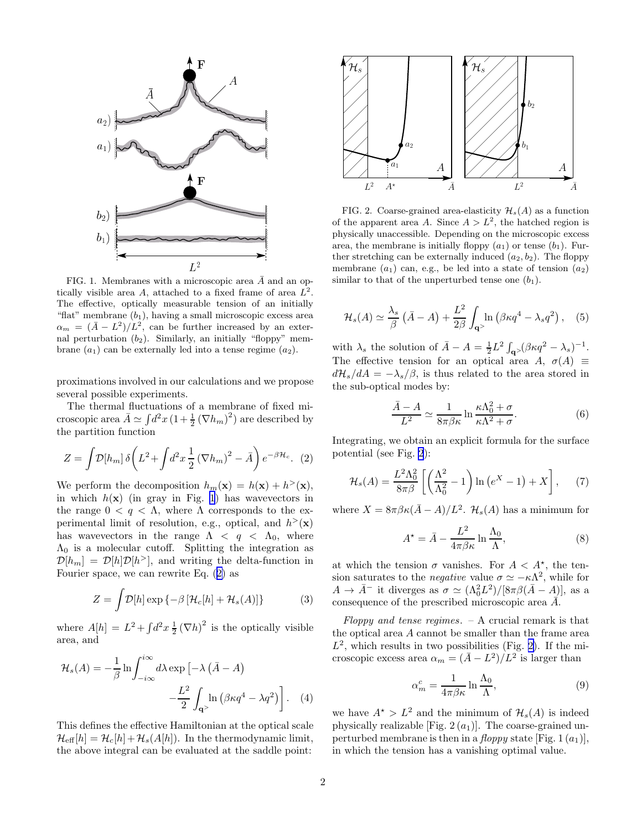<span id="page-1-0"></span>

FIG. 1. Membranes with a microscopic area  $\bar{A}$  and an optically visible area A, attached to a fixed frame of area  $\hat{L^2}$ . The effective, optically measurable tension of an initially "flat" membrane  $(b_1)$ , having a small microscopic excess area  $\alpha_m = (\bar{A} - L^2)/L^2$ , can be further increased by an external perturbation  $(b_2)$ . Similarly, an initially "floppy" membrane  $(a_1)$  can be externally led into a tense regime  $(a_2)$ .

proximations involved in our calculations and we propose several possible experiments.

The thermal fluctuations of a membrane of fixed microscopic area  $\bar{A} \simeq \int d^2x \left(1 + \frac{1}{2} \left(\nabla h_m\right)^2\right)$  are described by the partition function

$$
Z = \int \mathcal{D}[h_m] \,\delta\bigg(L^2 + \int d^2x \, \frac{1}{2} \left(\nabla h_m\right)^2 - \bar{A}\bigg) \, e^{-\beta \mathcal{H}_c}.\tag{2}
$$

We perform the decomposition  $h_m(\mathbf{x}) = h(\mathbf{x}) + h^>(\mathbf{x}),$ in which  $h(\mathbf{x})$  (in gray in Fig. 1) has wavevectors in the range  $0 < q < \Lambda$ , where  $\Lambda$  corresponds to the experimental limit of resolution, e.g., optical, and  $h^>(\mathbf{x})$ has wavevectors in the range  $\Lambda < q < \Lambda_0$ , where  $\Lambda_0$  is a molecular cutoff. Splitting the integration as  $\mathcal{D}[h_m] = \mathcal{D}[h]\mathcal{D}[h^>]$ , and writing the delta-function in Fourier space, we can rewrite Eq. (2) as

$$
Z = \int \mathcal{D}[h] \exp \{-\beta \left[ \mathcal{H}_c[h] + \mathcal{H}_s(A) \right] \} \tag{3}
$$

where  $A[h] = L^2 + \int d^2x \frac{1}{2} (\nabla h)^2$  is the optically visible area, and

$$
\mathcal{H}_s(A) = -\frac{1}{\beta} \ln \int_{-i\infty}^{i\infty} d\lambda \exp\left[-\lambda \left(\bar{A} - A\right) -\frac{L^2}{2} \int_{\mathbf{q}^>} \ln\left(\beta \kappa q^4 - \lambda q^2\right)\right]. \tag{4}
$$

This defines the effective Hamiltonian at the optical scale  $\mathcal{H}_{\text{eff}}[h] = \mathcal{H}_c[h] + \mathcal{H}_s(A[h])$ . In the thermodynamic limit, the above integral can be evaluated at the saddle point:



FIG. 2. Coarse-grained area-elasticity  $\mathcal{H}_s(A)$  as a function of the apparent area A. Since  $A > L^2$ , the hatched region is physically unaccessible. Depending on the microscopic excess area, the membrane is initially floppy  $(a_1)$  or tense  $(b_1)$ . Further stretching can be externally induced  $(a_2, b_2)$ . The floppy membrane  $(a_1)$  can, e.g., be led into a state of tension  $(a_2)$ similar to that of the unperturbed tense one  $(b_1)$ .

$$
\mathcal{H}_s(A) \simeq \frac{\lambda_s}{\beta} \left( \bar{A} - A \right) + \frac{L^2}{2\beta} \int_{\mathbf{q}^>} \ln \left( \beta \kappa q^4 - \lambda_s q^2 \right), \quad (5)
$$

with  $\lambda_s$  the solution of  $\bar{A} - A = \frac{1}{2}L^2 \int_{\mathbf{q} >} (\beta \kappa q^2 - \lambda_s)^{-1}$ . The effective tension for an optical area A,  $\sigma(A) \equiv$  $d\mathcal{H}_s/dA = -\lambda_s/\beta$ , is thus related to the area stored in the sub-optical modes by:

$$
\frac{\bar{A} - A}{L^2} \simeq \frac{1}{8\pi\beta\kappa} \ln \frac{\kappa\Lambda_0^2 + \sigma}{\kappa\Lambda^2 + \sigma}.
$$
 (6)

Integrating, we obtain an explicit formula for the surface potential (see Fig. 2):

$$
\mathcal{H}_s(A) = \frac{L^2 \Lambda_0^2}{8\pi \beta} \left[ \left( \frac{\Lambda^2}{\Lambda_0^2} - 1 \right) \ln \left( e^X - 1 \right) + X \right], \tag{7}
$$

where  $X = 8\pi\beta\kappa(\bar{A} - A)/L^2$ .  $\mathcal{H}_s(A)$  has a minimum for

$$
A^* = \bar{A} - \frac{L^2}{4\pi\beta\kappa} \ln \frac{\Lambda_0}{\Lambda},\tag{8}
$$

at which the tension  $\sigma$  vanishes. For  $A < A^*$ , the tension saturates to the *negative* value  $\sigma \simeq -\kappa \Lambda^2$ , while for  $A \to \bar{A}^-$  it diverges as  $\sigma \simeq (\Lambda_0^2 L^2)/[8\pi\beta(\bar{A}-A)]$ , as a consequence of the prescribed microscopic area  $\overline{A}$ .

Floppy and tense regimes.  $-$  A crucial remark is that the optical area A cannot be smaller than the frame area  $L^2$ , which results in two possibilities (Fig. 2). If the microscopic excess area  $\alpha_m = (\bar{A} - L^2)/L^2$  is larger than

$$
\alpha_m^c = \frac{1}{4\pi\beta\kappa} \ln \frac{\Lambda_0}{\Lambda},\tag{9}
$$

we have  $A^* > L^2$  and the minimum of  $\mathcal{H}_s(A)$  is indeed physically realizable [Fig.  $2(a_1)$ ]. The coarse-grained unperturbed membrane is then in a *floppy* state [Fig. 1  $(a_1)$ ], in which the tension has a vanishing optimal value.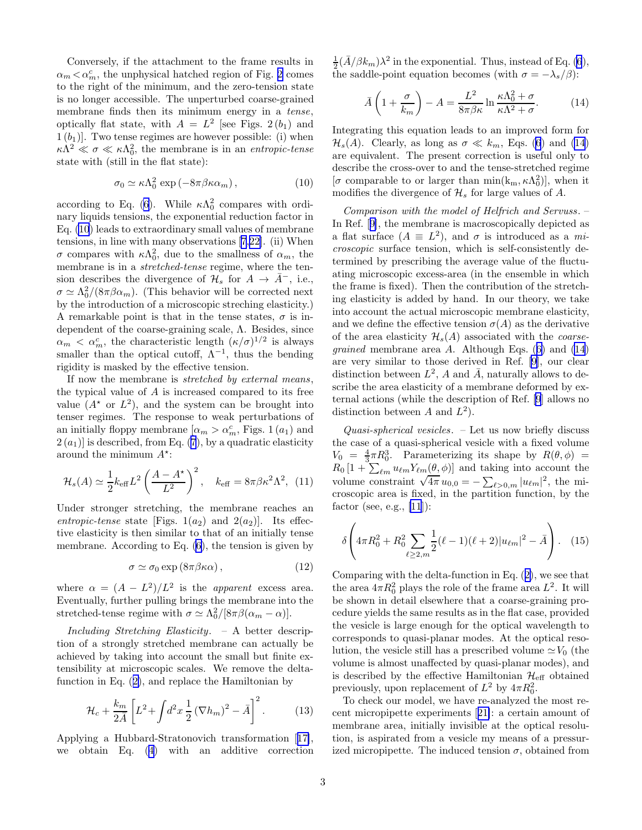<span id="page-2-0"></span>Conversely, if the attachment to the frame results in  $\alpha_m<\alpha_m^c,$  the unphysical hatched region of Fig. [2](#page-1-0) comes to the right of the minimum, and the zero-tension state is no longer accessible. The unperturbed coarse-grained membrane finds then its minimum energy in a tense, optically flat state, with  $A = L^2$  [see Figs. 2(b<sub>1</sub>) and  $1(b_1)$ . Two tense regimes are however possible: (i) when  $\kappa \Lambda^2 \ll \sigma \ll \kappa \Lambda_0^2$ , the membrane is in an *entropic-tense* state with (still in the flat state):

$$
\sigma_0 \simeq \kappa \Lambda_0^2 \, \exp\left(-8\pi \beta \kappa \alpha_m\right),\tag{10}
$$

according to Eq. [\(6](#page-1-0)). While  $\kappa \Lambda_0^2$  compares with ordinary liquids tensions, the exponential reduction factor in Eq. (10) leads to extraordinary small values of membrane tensions, in line with many observations [\[7](#page-3-0),[22](#page-3-0)]. (ii) When σ compares with  $\kappa \Lambda_0^2$ , due to the smallness of  $\alpha_m$ , the membrane is in a *stretched-tense* regime, where the tension describes the divergence of  $\mathcal{H}_s$  for  $A \to A^-$ , i.e.,  $\sigma \simeq \Lambda_0^2/(8\pi\beta\alpha_m)$ . (This behavior will be corrected next by the introduction of a microscopic streching elasticity.) A remarkable point is that in the tense states,  $\sigma$  is independent of the coarse-graining scale, Λ. Besides, since  $\alpha_m < \alpha_m^c$ , the characteristic length  $(\kappa/\sigma)^{1/2}$  is always smaller than the optical cutoff,  $\tilde{\Lambda}^{-1}$ , thus the bending rigidity is masked by the effective tension.

If now the membrane is stretched by external means, the typical value of  $A$  is increased compared to its free value  $(A^*$  or  $L^2$ ), and the system can be brought into tenser regimes. The response to weak perturbations of an initially floppy membrane  $\alpha_m > \alpha_m^c$ , Figs. 1 $(a_1)$  and  $2(a_1)$  is described, from Eq. [\(7](#page-1-0)), by a quadratic elasticity around the minimum  $A^*$ :

$$
\mathcal{H}_s(A) \simeq \frac{1}{2} k_{\text{eff}} L^2 \left( \frac{A - A^*}{L^2} \right)^2, \quad k_{\text{eff}} = 8\pi \beta \kappa^2 \Lambda^2, \tag{11}
$$

Under stronger stretching, the membrane reaches an entropic-tense state [Figs.  $1(a_2)$  and  $2(a_2)$ ]. Its effective elasticity is then similar to that of an initially tense membrane. According to Eq. [\(6](#page-1-0)), the tension is given by

$$
\sigma \simeq \sigma_0 \exp(8\pi \beta \kappa \alpha) , \qquad (12)
$$

where  $\alpha = (A - L^2)/L^2$  is the *apparent* excess area. Eventually, further pulling brings the membrane into the stretched-tense regime with  $\sigma \simeq \Lambda_0^2/[8\pi\beta(\alpha_m - \alpha)].$ 

Including Stretching Elasticity. – A better description of a strongly stretched membrane can actually be achieved by taking into account the small but finite extensibility at microscopic scales. We remove the deltafunction in Eq.([2\)](#page-1-0), and replace the Hamiltonian by

$$
\mathcal{H}_c + \frac{k_m}{2\bar{A}} \left[ L^2 + \int d^2x \, \frac{1}{2} \left( \nabla h_m \right)^2 - \bar{A} \right]^2. \tag{13}
$$

Applying a Hubbard-Stratonovich transformation[[17\]](#page-3-0), we obtain Eq.([4\)](#page-1-0) with an additive correction

 $\frac{1}{2}(\bar{A}/\beta k_m)\lambda^2$  in the exponential. Thus, instead of Eq. [\(6](#page-1-0)), the saddle-point equation becomes (with  $\sigma = -\lambda_s/\beta$ ):

$$
\bar{A}\left(1+\frac{\sigma}{k_m}\right) - A = \frac{L^2}{8\pi\beta\kappa} \ln\frac{\kappa\Lambda_0^2 + \sigma}{\kappa\Lambda^2 + \sigma}.
$$
 (14)

Integrating this equation leads to an improved form for  $\mathcal{H}_s(A)$ . Clearly, as long as  $\sigma \ll k_m$ , Eqs. [\(6](#page-1-0)) and (14) are equivalent. The present correction is useful only to describe the cross-over to and the tense-stretched regime  $[\sigma$  comparable to or larger than min( $k_m, \kappa \Lambda_0^2$ ), when it modifies the divergence of  $\mathcal{H}_s$  for large values of A.

Comparison with the model of Helfrich and Servuss. – In Ref.[[9\]](#page-3-0), the membrane is macroscopically depicted as a flat surface  $(A \equiv L^2)$ , and  $\sigma$  is introduced as a microscopic surface tension, which is self-consistently determined by prescribing the average value of the fluctuating microscopic excess-area (in the ensemble in which the frame is fixed). Then the contribution of the stretching elasticity is added by hand. In our theory, we take into account the actual microscopic membrane elasticity, and we define the effective tension  $\sigma(A)$  as the derivative of the area elasticity  $\mathcal{H}_s(A)$  associated with the *coarsegrained*membrane area  $A$ . Although Eqs. ([6\)](#page-1-0) and (14) are very similar to those derived in Ref. [\[9](#page-3-0)], our clear distinction between  $L^2$ , A and  $\overline{A}$ , naturally allows to describe the area elasticity of a membrane deformed by external actions (while the description of Ref. [\[9](#page-3-0)] allows no distinction between A and  $L^2$ ).

 $Quasi-spherical vesicles. - Let us now briefly discuss$ the case of a quasi-spherical vesicle with a fixed volume  $V_0 = \frac{4}{3}\pi R_0^3$ . Parameterizing its shape by  $R(\theta, \phi)$  =  $R_0\left[1+\sum_{\ell m}u_{\ell m}Y_{\ell m}(\theta,\phi)\right]$  and taking into account the volume constraint  $\sqrt{4\pi} u_{0,0} = -\sum_{\ell>0,m} |u_{\ell m}|^2$ , the microscopic area is fixed, in the partition function, by the factor (see, e.g.,  $[11]$ ):

$$
\delta \left( 4\pi R_0^2 + R_0^2 \sum_{\ell \ge 2, m} \frac{1}{2} (\ell - 1)(\ell + 2) |u_{\ell m}|^2 - \bar{A} \right). \tag{15}
$$

Comparingwith the delta-function in Eq.  $(2)$  $(2)$ , we see that the area  $4\pi R_0^2$  plays the role of the frame area  $L^2$ . It will be shown in detail elsewhere that a coarse-graining procedure yields the same results as in the flat case, provided the vesicle is large enough for the optical wavelength to corresponds to quasi-planar modes. At the optical resolution, the vesicle still has a prescribed volume  $\simeq V_0$  (the volume is almost unaffected by quasi-planar modes), and is described by the effective Hamiltonian  $\mathcal{H}_{\text{eff}}$  obtained previously, upon replacement of  $L^2$  by  $4\pi R_0^2$ .

To check our model, we have re-analyzed the most recent micropipette experiments[[21\]](#page-3-0): a certain amount of membrane area, initially invisible at the optical resolution, is aspirated from a vesicle my means of a pressurized micropipette. The induced tension  $\sigma$ , obtained from